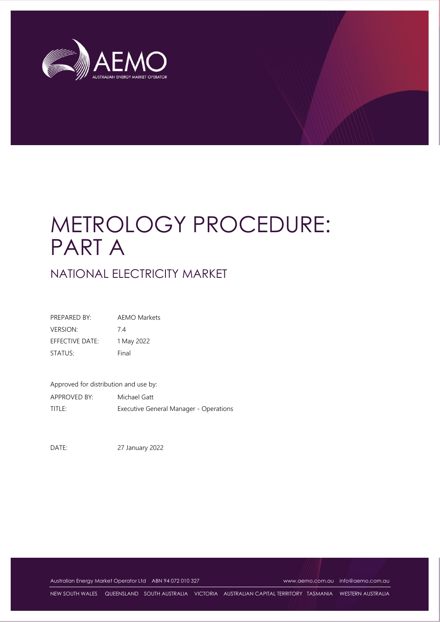

# METROLOGY PROCEDURE: PART A

# NATIONAL ELECTRICITY MARKET

| PREPARED BY:    | <b>AEMO Markets</b> |
|-----------------|---------------------|
| <b>VERSION:</b> | 74                  |
| EFFECTIVE DATE: | 1 May 2022          |
| STATUS:         | Final               |

Approved for distribution and use by: APPROVED BY: Michael Gatt TITLE: Executive General Manager - Operations

DATE: 27 January 2022

Australian Energy Market Operator Ltd ABN 94 072 010 327 [www.aemo.com.au](http://www.aemo.com.au/) [info@aemo.com.au](mailto:info@aemo.com.au)

NEW SOUTH WALES QUEENSLAND SOUTH AUSTRALIA VICTORIA AUSTRALIAN CAPITAL TERRITORY TASMANIA WESTERN AUSTRALIA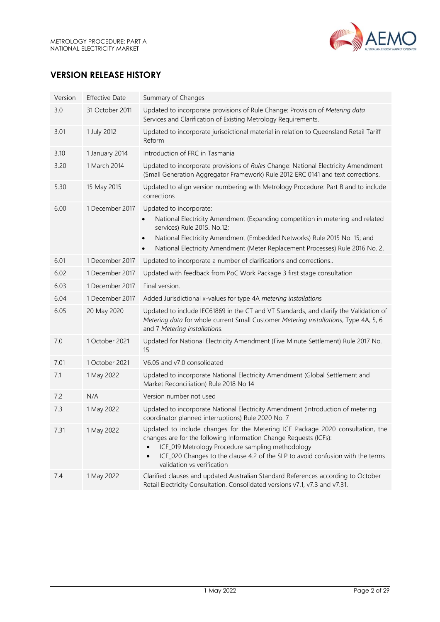

# **VERSION RELEASE HISTORY**

| Version | <b>Effective Date</b> | Summary of Changes                                                                                                                                                                                                                                                                                                                   |  |
|---------|-----------------------|--------------------------------------------------------------------------------------------------------------------------------------------------------------------------------------------------------------------------------------------------------------------------------------------------------------------------------------|--|
| 3.0     | 31 October 2011       | Updated to incorporate provisions of Rule Change: Provision of Metering data<br>Services and Clarification of Existing Metrology Requirements.                                                                                                                                                                                       |  |
| 3.01    | 1 July 2012           | Updated to incorporate jurisdictional material in relation to Queensland Retail Tariff<br>Reform                                                                                                                                                                                                                                     |  |
| 3.10    | 1 January 2014        | Introduction of FRC in Tasmania                                                                                                                                                                                                                                                                                                      |  |
| 3.20    | 1 March 2014          | Updated to incorporate provisions of Rules Change: National Electricity Amendment<br>(Small Generation Aggregator Framework) Rule 2012 ERC 0141 and text corrections.                                                                                                                                                                |  |
| 5.30    | 15 May 2015           | Updated to align version numbering with Metrology Procedure: Part B and to include<br>corrections                                                                                                                                                                                                                                    |  |
| 6.00    | 1 December 2017       | Updated to incorporate:<br>National Electricity Amendment (Expanding competition in metering and related<br>services) Rule 2015. No.12;<br>National Electricity Amendment (Embedded Networks) Rule 2015 No. 15; and<br>$\bullet$<br>National Electricity Amendment (Meter Replacement Processes) Rule 2016 No. 2.<br>$\bullet$       |  |
| 6.01    | 1 December 2017       | Updated to incorporate a number of clarifications and corrections                                                                                                                                                                                                                                                                    |  |
| 6.02    | 1 December 2017       | Updated with feedback from PoC Work Package 3 first stage consultation                                                                                                                                                                                                                                                               |  |
| 6.03    | 1 December 2017       | Final version.                                                                                                                                                                                                                                                                                                                       |  |
| 6.04    | 1 December 2017       | Added Jurisdictional x-values for type 4A metering installations                                                                                                                                                                                                                                                                     |  |
| 6.05    | 20 May 2020           | Updated to include IEC61869 in the CT and VT Standards, and clarify the Validation of<br>Metering data for whole current Small Customer Metering installations, Type 4A, 5, 6<br>and 7 Metering installations.                                                                                                                       |  |
| 7.0     | 1 October 2021        | Updated for National Electricity Amendment (Five Minute Settlement) Rule 2017 No.<br>15                                                                                                                                                                                                                                              |  |
| 7.01    | 1 October 2021        | V6.05 and v7.0 consolidated                                                                                                                                                                                                                                                                                                          |  |
| 7.1     | 1 May 2022            | Updated to incorporate National Electricity Amendment (Global Settlement and<br>Market Reconciliation) Rule 2018 No 14                                                                                                                                                                                                               |  |
| 7.2     | N/A                   | Version number not used                                                                                                                                                                                                                                                                                                              |  |
| 7.3     | 1 May 2022            | Updated to incorporate National Electricity Amendment (Introduction of metering<br>coordinator planned interruptions) Rule 2020 No. 7                                                                                                                                                                                                |  |
| 7.31    | 1 May 2022            | Updated to include changes for the Metering ICF Package 2020 consultation, the<br>changes are for the following Information Change Requests (ICFs):<br>ICF_019 Metrology Procedure sampling methodology<br>ICF_020 Changes to the clause 4.2 of the SLP to avoid confusion with the terms<br>$\bullet$<br>validation vs verification |  |
| 7.4     | 1 May 2022            | Clarified clauses and updated Australian Standard References according to October<br>Retail Electricity Consultation. Consolidated versions v7.1, v7.3 and v7.31.                                                                                                                                                                    |  |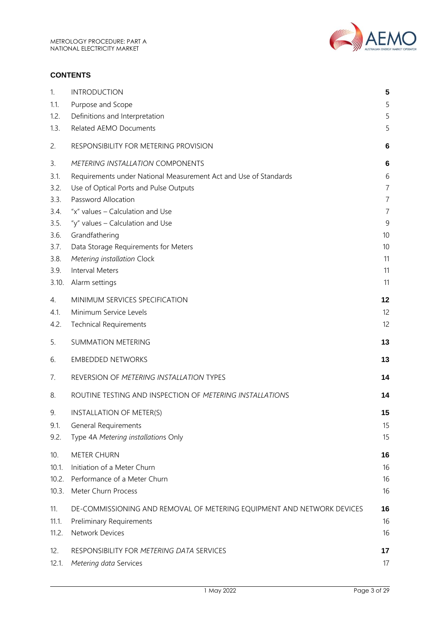

#### **CONTENTS**

| 1.    | <b>INTRODUCTION</b>                                                    | 5               |
|-------|------------------------------------------------------------------------|-----------------|
| 1.1.  | Purpose and Scope                                                      | 5               |
| 1.2.  | Definitions and Interpretation                                         | 5               |
| 1.3.  | <b>Related AEMO Documents</b>                                          | 5               |
| 2.    | RESPONSIBILITY FOR METERING PROVISION                                  | $6\phantom{1}6$ |
| 3.    | <b>METERING INSTALLATION COMPONENTS</b>                                | 6               |
| 3.1.  | Requirements under National Measurement Act and Use of Standards       | 6               |
| 3.2.  | Use of Optical Ports and Pulse Outputs                                 | $\overline{7}$  |
| 3.3.  | Password Allocation                                                    | $\overline{7}$  |
| 3.4.  | "x" values - Calculation and Use                                       | $\overline{7}$  |
| 3.5.  | "y" values - Calculation and Use                                       | 9               |
| 3.6.  | Grandfathering                                                         | 10              |
| 3.7.  | Data Storage Requirements for Meters                                   | 10              |
| 3.8.  | Metering installation Clock                                            | 11              |
| 3.9.  | <b>Interval Meters</b>                                                 | 11              |
| 3.10. | Alarm settings                                                         | 11              |
| 4.    | MINIMUM SERVICES SPECIFICATION                                         | 12              |
| 4.1.  | Minimum Service Levels                                                 | 12              |
| 4.2.  | <b>Technical Requirements</b>                                          | 12              |
| 5.    | <b>SUMMATION METERING</b>                                              | 13              |
| 6.    | <b>EMBEDDED NETWORKS</b>                                               | 13              |
| 7.    | REVERSION OF METERING INSTALLATION TYPES                               | 14              |
| 8.    | ROUTINE TESTING AND INSPECTION OF METERING INSTALLATIONS               | 14              |
| 9.    | INSTALLATION OF METER(S)                                               | 15              |
| 9.1.  | <b>General Requirements</b>                                            | 15              |
| 9.2.  | Type 4A Metering installations Only                                    | 15              |
| 10.   | <b>METER CHURN</b>                                                     | 16              |
| 10.1. | Initiation of a Meter Churn                                            | 16              |
| 10.2. | Performance of a Meter Churn                                           | 16              |
| 10.3. | Meter Churn Process                                                    | 16              |
| 11.   | DE-COMMISSIONING AND REMOVAL OF METERING EQUIPMENT AND NETWORK DEVICES | 16              |
| 11.1. | Preliminary Requirements                                               | 16              |
| 11.2. | Network Devices                                                        | 16              |
| 12.   | RESPONSIBILITY FOR METERING DATA SERVICES                              | 17              |
| 12.1. | Metering data Services                                                 | 17              |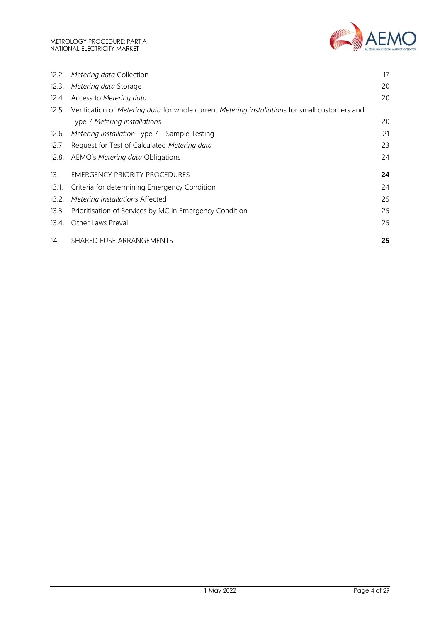

| 12.2. | Metering data Collection                                                                       | 17 |
|-------|------------------------------------------------------------------------------------------------|----|
| 12.3. | Metering data Storage                                                                          | 20 |
| 12.4. | Access to Metering data                                                                        | 20 |
| 12.5. | Verification of Metering data for whole current Metering installations for small customers and |    |
|       | Type 7 Metering installations                                                                  | 20 |
| 12.6. | Metering installation Type 7 - Sample Testing                                                  | 21 |
| 12.7. | Request for Test of Calculated Metering data                                                   | 23 |
| 12.8. | AEMO's Metering data Obligations                                                               | 24 |
| 13.   | <b>EMERGENCY PRIORITY PROCEDURES</b>                                                           | 24 |
| 13.1. | Criteria for determining Emergency Condition                                                   | 24 |
| 13.2. | Metering installations Affected                                                                | 25 |
| 13.3. | Prioritisation of Services by MC in Emergency Condition                                        | 25 |
| 13.4. | Other Laws Prevail                                                                             | 25 |
| 14.   | SHARED FUSE ARRANGEMENTS                                                                       | 25 |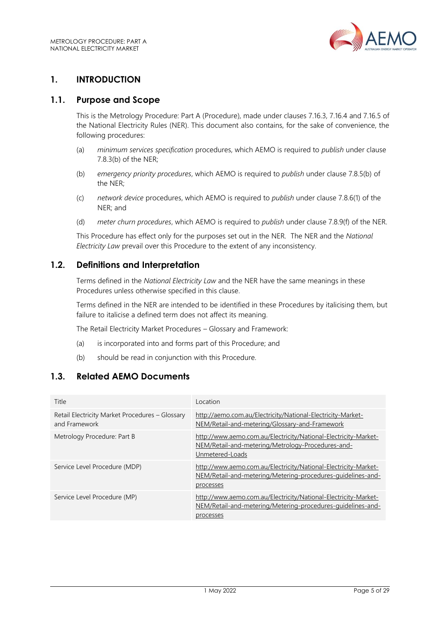

# <span id="page-4-0"></span>**1. INTRODUCTION**

#### <span id="page-4-1"></span>**1.1. Purpose and Scope**

This is the Metrology Procedure: Part A (Procedure), made under clauses 7.16.3, 7.16.4 and 7.16.5 of the National Electricity Rules (NER). This document also contains, for the sake of convenience, the following procedures:

- (a) *minimum services specification* procedures, which AEMO is required to *publish* under clause 7.8.3(b) of the NER;
- (b) *emergency priority procedures*, which AEMO is required to *publish* under clause 7.8.5(b) of the NER;
- (c) *network device* procedures, which AEMO is required to *publish* under clause 7.8.6(1) of the NER; and
- (d) *meter churn procedures*, which AEMO is required to *publish* under clause 7.8.9(f) of the NER.

This Procedure has effect only for the purposes set out in the NER. The NER and the *National Electricity Law* prevail over this Procedure to the extent of any inconsistency.

# <span id="page-4-2"></span>**1.2. Definitions and Interpretation**

Terms defined in the *National Electricity Law* and the NER have the same meanings in these Procedures unless otherwise specified in this clause.

Terms defined in the NER are intended to be identified in these Procedures by italicising them, but failure to italicise a defined term does not affect its meaning.

The Retail Electricity Market Procedures – Glossary and Framework:

- (a) is incorporated into and forms part of this Procedure; and
- (b) should be read in conjunction with this Procedure.

# <span id="page-4-3"></span>**1.3. Related AEMO Documents**

| Title                                                            | Location                                                                                                                                    |
|------------------------------------------------------------------|---------------------------------------------------------------------------------------------------------------------------------------------|
| Retail Electricity Market Procedures - Glossary<br>and Framework | http://aemo.com.au/Electricity/National-Electricity-Market-<br>NEM/Retail-and-metering/Glossary-and-Framework                               |
| Metrology Procedure: Part B                                      | http://www.aemo.com.au/Electricity/National-Electricity-Market-<br>NEM/Retail-and-metering/Metrology-Procedures-and-<br>Unmetered-Loads     |
| Service Level Procedure (MDP)                                    | http://www.aemo.com.au/Electricity/National-Electricity-Market-<br>NEM/Retail-and-metering/Metering-procedures-quidelines-and-<br>processes |
| Service Level Procedure (MP)                                     | http://www.aemo.com.au/Electricity/National-Electricity-Market-<br>NEM/Retail-and-metering/Metering-procedures-quidelines-and-<br>processes |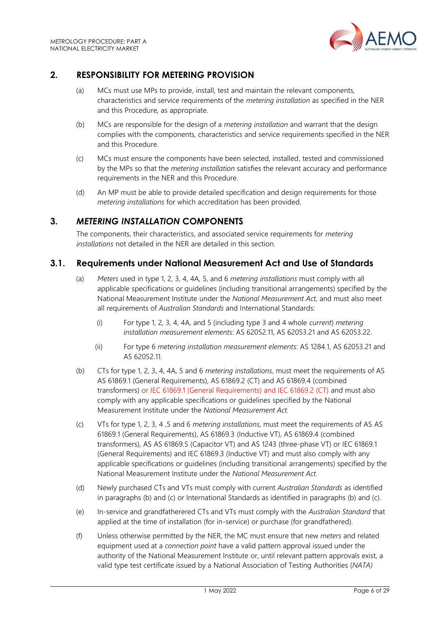

# <span id="page-5-0"></span>**2. RESPONSIBILITY FOR METERING PROVISION**

- (a) MCs must use MPs to provide, install, test and maintain the relevant components, characteristics and service requirements of the *metering installation* as specified in the NER and this Procedure*,* as appropriate.
- (b) MCs are responsible for the design of a *metering installation* and warrant that the design complies with the components, characteristics and service requirements specified in the NER and this Procedure.
- (c) MCs must ensure the components have been selected, installed, tested and commissioned by the MPs so that the *metering installation* satisfies the relevant accuracy and performance requirements in the NER and this Procedure.
- (d) An MP must be able to provide detailed specification and design requirements for those *metering installations* for which accreditation has been provided.

# <span id="page-5-1"></span>**3.** *METERING INSTALLATION* **COMPONENTS**

The components, their characteristics, and associated service requirements for *metering installations* not detailed in the NER are detailed in this section.

# <span id="page-5-2"></span>**3.1. Requirements under National Measurement Act and Use of Standards**

- (a) *Meters* used in type 1, 2, 3, 4, 4A, 5, and 6 *metering installations* must comply with all applicable specifications or guidelines (including transitional arrangements) specified by the National Measurement Institute under the *National Measurement Act,* and must also meet all requirements of *Australian Standards* and International Standards:
	- (i) For type 1, 2, 3, 4, 4A, and 5 (including type 3 and 4 whole *current*) *metering installation measurement elements*: AS 62052.11, AS 62053.21 and AS 62053.22.
	- (ii) For type 6 *metering installation measurement elements*: AS 1284.1, AS 62053.21 and AS 62052.11.
- (b) CTs for type 1, 2, 3, 4, 4A, 5 and 6 *metering installations*, must meet the requirements of AS AS 61869.1 (General Requirements), AS 61869.2 (CT) and AS 61869.4 (combined transformers) or IEC 61869.1 (General Requirements) and IEC 61869.2 (CT) and must also comply with any applicable specifications or guidelines specified by the National Measurement Institute under the *National Measurement Act.*
- (c) VTs for type 1, 2, 3, 4 ,5 and 6 *metering installations*, must meet the requirements of AS AS 61869.1 (General Requirements), AS 61869.3 (Inductive VT), AS 61869.4 (combined transformers), AS AS 61869.5 (Capacitor VT) and AS 1243 (three-phase VT) or IEC 61869.1 (General Requirements) and IEC 61869.3 (Inductive VT) and must also comply with any applicable specifications or guidelines (including transitional arrangements) specified by the National Measurement Institute under the *National Measurement Act.*
- (d) Newly purchased CTs and VTs must comply with current *Australian Standards* as identified in paragraphs (b) and (c) or International Standards as identified in paragraphs (b) and (c).
- (e) In-service and grandfatherered CTs and VTs must comply with the *Australian Standard* that applied at the time of installation (for in-service) or purchase (for grandfathered).
- (f) Unless otherwise permitted by the NER, the MC must ensure that new *meters* and related equipment used at a *connection point* have a valid pattern approval issued under the authority of the National Measurement Institute or, until relevant pattern approvals exist, a valid type test certificate issued by a National Association of Testing Authorities (*NATA)*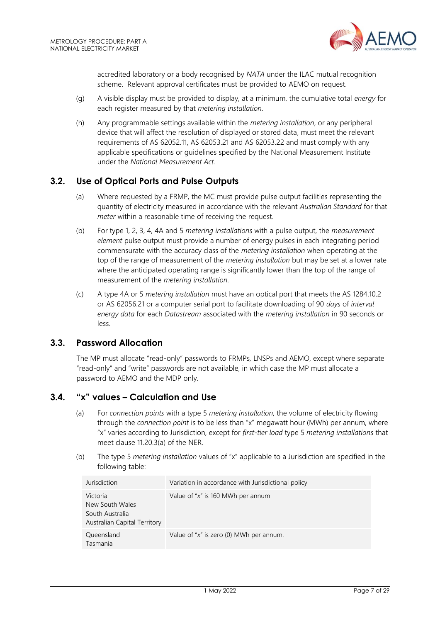

accredited laboratory or a body recognised by *NATA* under the ILAC mutual recognition scheme. Relevant approval certificates must be provided to AEMO on request.

- (g) A visible display must be provided to display, at a minimum, the cumulative total *energy* for each register measured by that *metering installation.*
- (h) Any programmable settings available within the *metering installation*, or any peripheral device that will affect the resolution of displayed or stored data, must meet the relevant requirements of AS 62052.11, AS 62053.21 and AS 62053.22 and must comply with any applicable specifications or guidelines specified by the National Measurement Institute under the *National Measurement Act.*

# <span id="page-6-0"></span>**3.2. Use of Optical Ports and Pulse Outputs**

- (a) Where requested by a FRMP, the MC must provide pulse output facilities representing the quantity of electricity measured in accordance with the relevant *Australian Standard* for that *meter* within a reasonable time of receiving the request.
- (b) For type 1, 2, 3, 4, 4A and 5 *metering installations* with a pulse output, the *measurement element* pulse output must provide a number of energy pulses in each integrating period commensurate with the accuracy class of the *metering installation* when operating at the top of the range of measurement of the *metering installation* but may be set at a lower rate where the anticipated operating range is significantly lower than the top of the range of measurement of the *metering installation.*
- (c) A type 4A or 5 *metering installation* must have an optical port that meets the AS 1284.10.2 or AS 62056.21 or a computer serial port to facilitate downloading of 90 *days* of *interval energy data* for each *Datastream* associated with the *metering installation* in 90 seconds or less.

# <span id="page-6-1"></span>**3.3. Password Allocation**

The MP must allocate "read-only" passwords to FRMPs*,* LNSPs and AEMO, except where separate "read-only" and "write" passwords are not available, in which case the MP must allocate a password to AEMO and the MDP only.

# <span id="page-6-2"></span>**3.4. "x" values – Calculation and Use**

- (a) For *connection points* with a type 5 *metering installation,* the volume of electricity flowing through the *connection point* is to be less than "x" megawatt hour (MWh) per annum, where "x" varies according to Jurisdiction, except for *first-tier load* type 5 *metering installations* that meet clause 11.20.3(a) of the NER.
- (b) The type 5 *metering installation* values of "x" applicable to a Jurisdiction are specified in the following table:

| Jurisdiction                                                                          | Variation in accordance with Jurisdictional policy |
|---------------------------------------------------------------------------------------|----------------------------------------------------|
| Victoria<br>New South Wales<br>South Australia<br><b>Australian Capital Territory</b> | Value of " $x$ " is 160 MWh per annum              |
| Queensland<br>Tasmania                                                                | Value of " $x$ " is zero (0) MWh per annum.        |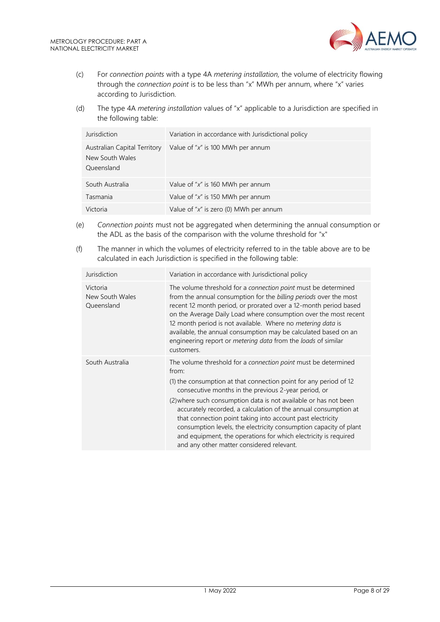

- (c) For *connection points* with a type 4A *metering installation,* the volume of electricity flowing through the *connection point* is to be less than "x" MWh per annum, where "x" varies according to Jurisdiction.
- (d) The type 4A *metering installation* values of "x" applicable to a Jurisdiction are specified in the following table:

| Jurisdiction                                                  | Variation in accordance with Jurisdictional policy |
|---------------------------------------------------------------|----------------------------------------------------|
| Australian Capital Territory<br>New South Wales<br>Queensland | Value of " $x$ " is 100 MWh per annum              |
| South Australia                                               | Value of " $x$ " is 160 MWh per annum              |
| Tasmania                                                      | Value of " $x$ " is 150 MWh per annum              |
| Victoria                                                      | Value of "x" is zero (0) MWh per annum             |

- (e) *Connection points* must not be aggregated when determining the annual consumption or the ADL as the basis of the comparison with the volume threshold for "x"
- (f) The manner in which the volumes of electricity referred to in the table above are to be calculated in each Jurisdiction is specified in the following table:

| Jurisdiction                              | Variation in accordance with Jurisdictional policy                                                                                                                                                                                                                                                                                                                                                                                                                                                                                                                                             |
|-------------------------------------------|------------------------------------------------------------------------------------------------------------------------------------------------------------------------------------------------------------------------------------------------------------------------------------------------------------------------------------------------------------------------------------------------------------------------------------------------------------------------------------------------------------------------------------------------------------------------------------------------|
| Victoria<br>New South Wales<br>Queensland | The volume threshold for a connection point must be determined<br>from the annual consumption for the billing periods over the most<br>recent 12 month period, or prorated over a 12-month period based<br>on the Average Daily Load where consumption over the most recent<br>12 month period is not available. Where no metering data is<br>available, the annual consumption may be calculated based on an<br>engineering report or <i>metering data</i> from the <i>loads</i> of similar<br>customers.                                                                                     |
| South Australia                           | The volume threshold for a connection point must be determined<br>from:<br>(1) the consumption at that connection point for any period of 12<br>consecutive months in the previous 2-year period, or<br>(2) where such consumption data is not available or has not been<br>accurately recorded, a calculation of the annual consumption at<br>that connection point taking into account past electricity<br>consumption levels, the electricity consumption capacity of plant<br>and equipment, the operations for which electricity is required<br>and any other matter considered relevant. |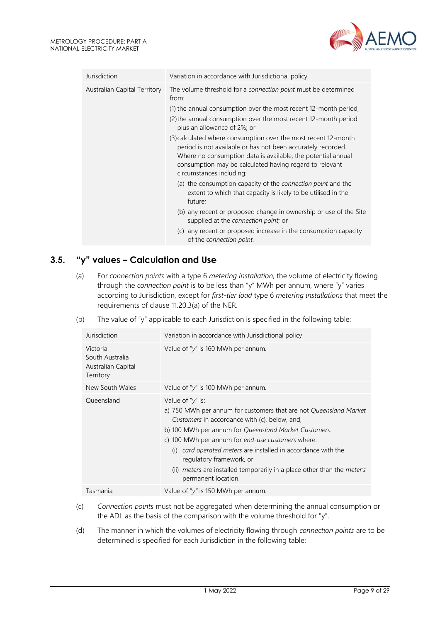

| Jurisdiction                 | Variation in accordance with Jurisdictional policy                                                                                                                                                                                                                                    |  |
|------------------------------|---------------------------------------------------------------------------------------------------------------------------------------------------------------------------------------------------------------------------------------------------------------------------------------|--|
| Australian Capital Territory | The volume threshold for a connection point must be determined<br>from:                                                                                                                                                                                                               |  |
|                              | (1) the annual consumption over the most recent 12-month period,                                                                                                                                                                                                                      |  |
|                              | (2) the annual consumption over the most recent 12-month period<br>plus an allowance of 2%; or                                                                                                                                                                                        |  |
|                              | (3) calculated where consumption over the most recent 12-month<br>period is not available or has not been accurately recorded.<br>Where no consumption data is available, the potential annual<br>consumption may be calculated having regard to relevant<br>circumstances including: |  |
|                              | (a) the consumption capacity of the <i>connection point</i> and the<br>extent to which that capacity is likely to be utilised in the<br>future;                                                                                                                                       |  |
|                              | (b) any recent or proposed change in ownership or use of the Site<br>supplied at the connection point; or                                                                                                                                                                             |  |
|                              | (c) any recent or proposed increase in the consumption capacity<br>of the connection point.                                                                                                                                                                                           |  |

# <span id="page-8-0"></span>**3.5. "y" values – Calculation and Use**

(a) For *connection points* with a type 6 *metering installation,* the volume of electricity flowing through the *connection point* is to be less than "y" MWh per annum, where "y" varies according to Jurisdiction, except for *first-tier load* type 6 *metering installations* that meet the requirements of clause 11.20.3(a) of the NER.

| (b) |  |  | The value of "y" applicable to each Jurisdiction is specified in the following table: |
|-----|--|--|---------------------------------------------------------------------------------------|
|     |  |  |                                                                                       |

| Jurisdiction                                                   | Variation in accordance with Jurisdictional policy                                                                                                                                                                                                                                                                                                                                                                                                                       |  |  |
|----------------------------------------------------------------|--------------------------------------------------------------------------------------------------------------------------------------------------------------------------------------------------------------------------------------------------------------------------------------------------------------------------------------------------------------------------------------------------------------------------------------------------------------------------|--|--|
| Victoria<br>South Australia<br>Australian Capital<br>Territory | Value of " $y''$ is 160 MWh per annum.                                                                                                                                                                                                                                                                                                                                                                                                                                   |  |  |
| New South Wales                                                | Value of " $y''$ is 100 MWh per annum.                                                                                                                                                                                                                                                                                                                                                                                                                                   |  |  |
| Queensland                                                     | Value of " $y''$ is:<br>a) 750 MWh per annum for customers that are not Queensland Market<br>Customers in accordance with (c), below, and,<br>b) 100 MWh per annum for Queensland Market Customers.<br>c) 100 MWh per annum for end-use customers where:<br>card operated meters are installed in accordance with the<br>(i)<br>regulatory framework, or<br>(ii) <i>meters</i> are installed temporarily in a place other than the <i>meter's</i><br>permanent location. |  |  |
| Tasmania                                                       | Value of " $y$ " is 150 MWh per annum.                                                                                                                                                                                                                                                                                                                                                                                                                                   |  |  |

- (c) *Connection points* must not be aggregated when determining the annual consumption or the ADL as the basis of the comparison with the volume threshold for "y".
- (d) The manner in which the volumes of electricity flowing through *connection points* are to be determined is specified for each Jurisdiction in the following table: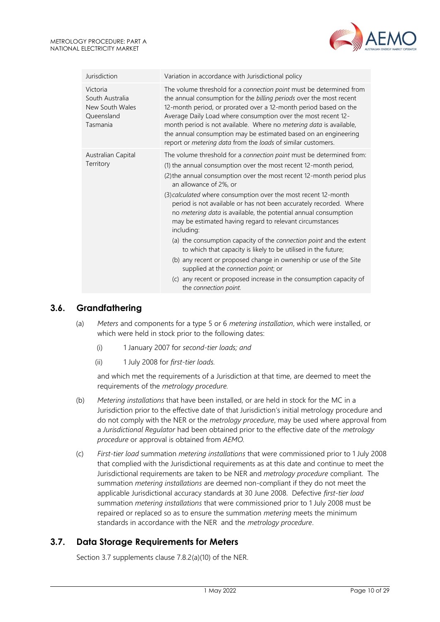

| Jurisdiction                                                             | Variation in accordance with Jurisdictional policy                                                                                                                                                                                                                                                                                                                                                                                                                                                                                                                                                                                                                                                                                                                                                                                                                                   |  |  |
|--------------------------------------------------------------------------|--------------------------------------------------------------------------------------------------------------------------------------------------------------------------------------------------------------------------------------------------------------------------------------------------------------------------------------------------------------------------------------------------------------------------------------------------------------------------------------------------------------------------------------------------------------------------------------------------------------------------------------------------------------------------------------------------------------------------------------------------------------------------------------------------------------------------------------------------------------------------------------|--|--|
| Victoria<br>South Australia<br>New South Wales<br>Queensland<br>Tasmania | The volume threshold for a connection point must be determined from<br>the annual consumption for the billing periods over the most recent<br>12-month period, or prorated over a 12-month period based on the<br>Average Daily Load where consumption over the most recent 12-<br>month period is not available. Where no metering data is available,<br>the annual consumption may be estimated based on an engineering<br>report or metering data from the loads of similar customers.                                                                                                                                                                                                                                                                                                                                                                                            |  |  |
| Australian Capital<br>Territory                                          | The volume threshold for a connection point must be determined from:<br>(1) the annual consumption over the most recent 12-month period,<br>(2) the annual consumption over the most recent 12-month period plus<br>an allowance of 2%, or<br>(3) calculated where consumption over the most recent 12-month<br>period is not available or has not been accurately recorded. Where<br>no metering data is available, the potential annual consumption<br>may be estimated having regard to relevant circumstances<br>including:<br>(a) the consumption capacity of the connection point and the extent<br>to which that capacity is likely to be utilised in the future;<br>(b) any recent or proposed change in ownership or use of the Site<br>supplied at the connection point; or<br>(c) any recent or proposed increase in the consumption capacity of<br>the connection point. |  |  |

# <span id="page-9-0"></span>**3.6. Grandfathering**

- (a) *Meters* and components for a type 5 or 6 *metering installation*, which were installed, or which were held in stock prior to the following dates:
	- (i) 1 January 2007 for *second-tier loads; and*
	- (ii) 1 July 2008 for *first-tier loads.*

and which met the requirements of a Jurisdiction at that time, are deemed to meet the requirements of the *metrology procedure.*

- (b) *Metering installations* that have been installed, or are held in stock for the MC in a Jurisdiction prior to the effective date of that Jurisdiction's initial metrology procedure and do not comply with the NER or the *metrology procedure*, may be used where approval from a *Jurisdictional Regulator* had been obtained prior to the effective date of the *metrology procedure* or approval is obtained from *AEMO.*
- (c) *First-tier load* summation *metering installations* that were commissioned prior to 1 July 2008 that complied with the Jurisdictional requirements as at this date and continue to meet the Jurisdictional requirements are taken to be NER and *metrology procedure* compliant. The summation *metering installations* are deemed non-compliant if they do not meet the applicable Jurisdictional accuracy standards at 30 June 2008. Defective *first-tier load* summation *metering installations* that were commissioned prior to 1 July 2008 must be repaired or replaced so as to ensure the summation *metering* meets the minimum standards in accordance with the NER and the *metrology procedure*.

# <span id="page-9-1"></span>**3.7. Data Storage Requirements for Meters**

Section 3.7 supplements clause 7.8.2(a)(10) of the NER.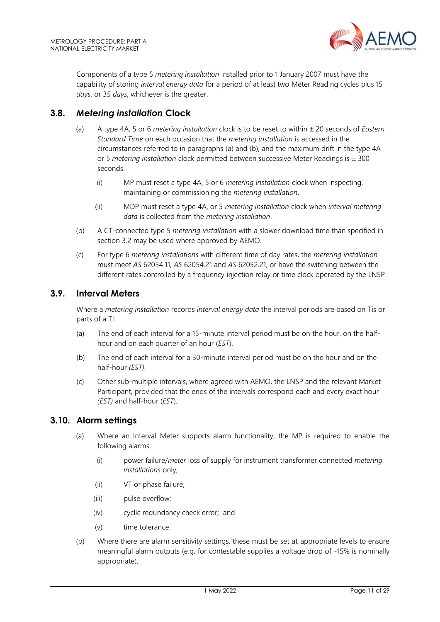Components of a type 5 *metering installation* installed prior to 1 January 2007 must have the capability of storing *interval energy data* for a period of at least two Meter Reading cycles plus 15 *days*, or 35 *days*, whichever is the greater.

# <span id="page-10-0"></span>**3.8.** *Metering installation* **Clock**

- (a) A type 4A, 5 or 6 *metering installation* clock is to be reset to within 20 seconds of *Eastern Standard Time* on each occasion that the *metering installation* is accessed in the circumstances referred to in paragraphs (a) and (b), and the maximum drift in the type 4A or 5 *metering installation* clock permitted between successive Meter Readings is  $\pm$  300 seconds.
	- (i) MP must reset a type 4A, 5 or 6 *metering installation* clock when inspecting, maintaining or commissioning the *metering installation*.
	- (ii) MDP must reset a type 4A, or 5 *metering installation* clock when *interval metering data* is collected from the *metering installation*.
- (b) A CT-connected type 5 *metering installation* with a slower download time than specified in section 3.2 may be used where approved by AEMO.
- (c) For type 6 *metering installations* with different time of day rates, the *metering installation* must meet *AS* 62054.11, *AS* 62054.21 and *AS* 62052.21, or have the switching between the different rates controlled by a frequency injection relay or time clock operated by the LNSP.

# <span id="page-10-1"></span>**3.9. Interval Meters**

Where a *metering installation* records *interval energy data* the interval periods are based on Tis or parts of a TI:

- (a) The end of each interval for a 15-minute interval period must be on the hour, on the halfhour and on each quarter of an hour (*EST*).
- (b) The end of each interval for a 30-minute interval period must be on the hour and on the half-hour *(EST).*
- (c) Other sub-multiple intervals, where agreed with AEMO, the LNSP and the relevant Market Participant, provided that the ends of the intervals correspond each and every exact hour *(EST)* and half-hour (*EST*).

# <span id="page-10-2"></span>**3.10. Alarm settings**

- (a) Where an Interval Meter supports alarm functionality, the MP is required to enable the following alarms:
	- (i) power failure/*meter* loss of supply for instrument transformer connected *metering installations* only;
	- (ii) VT or phase failure;
	- (iii) pulse overflow;
	- (iv) cyclic redundancy check error; and
	- (v) time tolerance.
- (b) Where there are alarm sensitivity settings, these must be set at appropriate levels to ensure meaningful alarm outputs (e.g. for contestable supplies a voltage drop of -15% is nominally appropriate).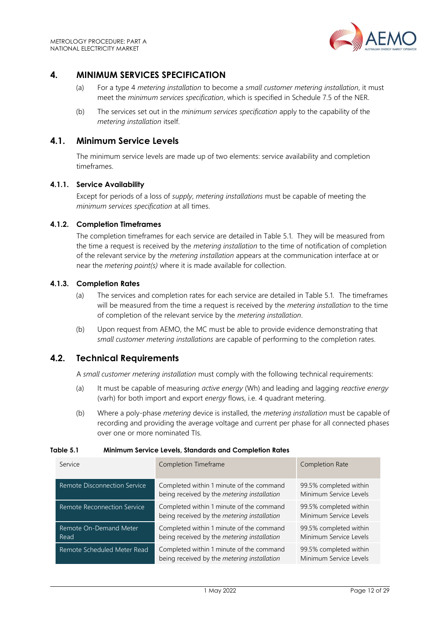

# <span id="page-11-0"></span>**4. MINIMUM SERVICES SPECIFICATION**

- (a) For a type 4 *metering installation* to become a *small customer metering installation*, it must meet the *minimum services specification*, which is specified in Schedule 7.5 of the NER.
- (b) The services set out in the *minimum services specification* apply to the capability of the *metering installation* itself.

#### <span id="page-11-1"></span>**4.1. Minimum Service Levels**

The minimum service levels are made up of two elements: service availability and completion timeframes.

#### **4.1.1. Service Availability**

Except for periods of a loss of *supply*, *metering installations* must be capable of meeting the *minimum services specification* at all times.

#### **4.1.2. Completion Timeframes**

The completion timeframes for each service are detailed in Table 5.1. They will be measured from the time a request is received by the *metering installation* to the time of notification of completion of the relevant service by the *metering installation* appears at the communication interface at or near the *metering point(s)* where it is made available for collection.

#### **4.1.3. Completion Rates**

- (a) The services and completion rates for each service are detailed in Table 5.1. The timeframes will be measured from the time a request is received by the *metering installation* to the time of completion of the relevant service by the *metering installation*.
- (b) Upon request from AEMO, the MC must be able to provide evidence demonstrating that *small customer metering installations* are capable of performing to the completion rates.

#### <span id="page-11-2"></span>**4.2. Technical Requirements**

A *small customer metering installation* must comply with the following technical requirements:

- (a) It must be capable of measuring *active energy* (Wh) and leading and lagging *reactive energy* (varh) for both import and export *energy* flows, i.e. 4 quadrant metering.
- (b) Where a poly-phase *metering* device is installed, the *metering installation* must be capable of recording and providing the average voltage and current per phase for all connected phases over one or more nominated TIs.

#### **Table 5.1 Minimum Service Levels, Standards and Completion Rates**

| Service                        | Completion Timeframe                                                                    | Completion Rate                                  |  |
|--------------------------------|-----------------------------------------------------------------------------------------|--------------------------------------------------|--|
| Remote Disconnection Service   | Completed within 1 minute of the command<br>being received by the metering installation | 99.5% completed within<br>Minimum Service Levels |  |
| Remote Reconnection Service    | Completed within 1 minute of the command<br>being received by the metering installation | 99.5% completed within<br>Minimum Service Levels |  |
| Remote On-Demand Meter<br>Read | Completed within 1 minute of the command<br>being received by the metering installation | 99.5% completed within<br>Minimum Service Levels |  |
| Remote Scheduled Meter Read    | Completed within 1 minute of the command<br>being received by the metering installation | 99.5% completed within<br>Minimum Service Levels |  |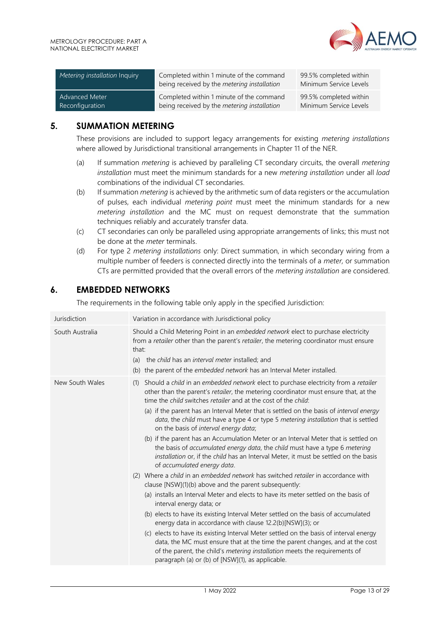

| Metering installation Inquiry | Completed within 1 minute of the command<br>being received by the metering installation | 99.5% completed within<br>Minimum Service Levels |
|-------------------------------|-----------------------------------------------------------------------------------------|--------------------------------------------------|
| <b>Advanced Meter</b>         | Completed within 1 minute of the command                                                | 99.5% completed within                           |
| Reconfiguration               | being received by the metering installation                                             | Minimum Service Levels                           |

# <span id="page-12-0"></span>**5. SUMMATION METERING**

These provisions are included to support legacy arrangements for existing *metering installations* where allowed by Jurisdictional transitional arrangements in Chapter 11 of the NER.

- (a) If summation *metering* is achieved by paralleling CT secondary circuits, the overall *metering installation* must meet the minimum standards for a new *metering installation* under all *load* combinations of the individual CT secondaries.
- (b) If summation *metering* is achieved by the arithmetic sum of data registers or the accumulation of pulses, each individual *metering point* must meet the minimum standards for a new *metering installation* and the MC must on request demonstrate that the summation techniques reliably and accurately transfer data.
- (c) CT secondaries can only be paralleled using appropriate arrangements of links; this must not be done at the *meter* terminals.
- (d) For type 2 *metering installations* only: Direct summation, in which secondary wiring from a multiple number of feeders is connected directly into the terminals of a *meter,* or summation CTs are permitted provided that the overall errors of the *metering installation* are considered.

# <span id="page-12-1"></span>**6. EMBEDDED NETWORKS**

The requirements in the following table only apply in the specified Jurisdiction:

| Jurisdiction    | Variation in accordance with Jurisdictional policy                                                                                                                                                                                                                                                                                                                                                                                                                                                                                                                                                                                                                                                                                                                                                                                                                                                                                                                                                                                                                                                                                                                                                                                                                                                                                                                                                                                                                                                                 |
|-----------------|--------------------------------------------------------------------------------------------------------------------------------------------------------------------------------------------------------------------------------------------------------------------------------------------------------------------------------------------------------------------------------------------------------------------------------------------------------------------------------------------------------------------------------------------------------------------------------------------------------------------------------------------------------------------------------------------------------------------------------------------------------------------------------------------------------------------------------------------------------------------------------------------------------------------------------------------------------------------------------------------------------------------------------------------------------------------------------------------------------------------------------------------------------------------------------------------------------------------------------------------------------------------------------------------------------------------------------------------------------------------------------------------------------------------------------------------------------------------------------------------------------------------|
| South Australia | Should a Child Metering Point in an embedded network elect to purchase electricity<br>from a retailer other than the parent's retailer, the metering coordinator must ensure<br>that:<br>the child has an interval meter installed; and<br>(a)<br>(b) the parent of the embedded network has an Interval Meter installed.                                                                                                                                                                                                                                                                                                                                                                                                                                                                                                                                                                                                                                                                                                                                                                                                                                                                                                                                                                                                                                                                                                                                                                                          |
| New South Wales | Should a child in an embedded network elect to purchase electricity from a retailer<br>(1)<br>other than the parent's retailer, the metering coordinator must ensure that, at the<br>time the child switches retailer and at the cost of the child:<br>(a) if the parent has an Interval Meter that is settled on the basis of <i>interval energy</i><br>data, the child must have a type 4 or type 5 metering installation that is settled<br>on the basis of interval energy data;<br>(b) if the parent has an Accumulation Meter or an Interval Meter that is settled on<br>the basis of accumulated energy data, the child must have a type 6 metering<br>installation or, if the child has an Interval Meter, it must be settled on the basis<br>of accumulated energy data.<br>(2) Where a child in an embedded network has switched retailer in accordance with<br>clause [NSW](1)(b) above and the parent subsequently:<br>(a) installs an Interval Meter and elects to have its meter settled on the basis of<br>interval energy data; or<br>(b) elects to have its existing Interval Meter settled on the basis of accumulated<br>energy data in accordance with clause 12.2(b)[NSW](3); or<br>(c) elects to have its existing Interval Meter settled on the basis of interval energy<br>data, the MC must ensure that at the time the parent changes, and at the cost<br>of the parent, the child's metering installation meets the requirements of<br>paragraph (a) or (b) of [NSW](1), as applicable. |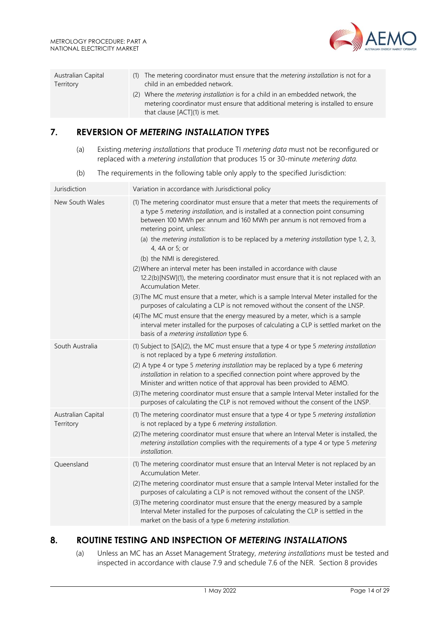

| Australian Capital | (1) The metering coordinator must ensure that the <i>metering installation</i> is not for a                                                                                                               |
|--------------------|-----------------------------------------------------------------------------------------------------------------------------------------------------------------------------------------------------------|
| Territory          | child in an embedded network.                                                                                                                                                                             |
|                    | (2) Where the <i>metering installation</i> is for a child in an embedded network, the<br>metering coordinator must ensure that additional metering is installed to ensure<br>that clause [ACT](1) is met. |

# <span id="page-13-0"></span>**7. REVERSION OF** *METERING INSTALLATION* **TYPES**

- (a) Existing *metering installations* that produce TI *metering data* must not be reconfigured or replaced with a *metering installation* that produces 15 or 30-minute *metering data.*
- (b) The requirements in the following table only apply to the specified Jurisdiction:

| Jurisdiction                    | Variation in accordance with Jurisdictional policy                                                                                                                                                                                                                                                                                                                                                                                                                                                                                                                                                                                                                                                                                                                                                                                                                                                                                                                                                                         |
|---------------------------------|----------------------------------------------------------------------------------------------------------------------------------------------------------------------------------------------------------------------------------------------------------------------------------------------------------------------------------------------------------------------------------------------------------------------------------------------------------------------------------------------------------------------------------------------------------------------------------------------------------------------------------------------------------------------------------------------------------------------------------------------------------------------------------------------------------------------------------------------------------------------------------------------------------------------------------------------------------------------------------------------------------------------------|
| New South Wales                 | (1) The metering coordinator must ensure that a meter that meets the requirements of<br>a type 5 metering installation, and is installed at a connection point consuming<br>between 100 MWh per annum and 160 MWh per annum is not removed from a<br>metering point, unless:<br>(a) the metering installation is to be replaced by a metering installation type 1, 2, 3,<br>4, 4A or 5; or<br>(b) the NMI is deregistered.<br>(2) Where an interval meter has been installed in accordance with clause<br>12.2(b)[NSW](1), the metering coordinator must ensure that it is not replaced with an<br>Accumulation Meter.<br>(3) The MC must ensure that a meter, which is a sample Interval Meter installed for the<br>purposes of calculating a CLP is not removed without the consent of the LNSP.<br>(4) The MC must ensure that the energy measured by a meter, which is a sample<br>interval meter installed for the purposes of calculating a CLP is settled market on the<br>basis of a metering installation type 6. |
| South Australia                 | (1) Subject to [SA](2), the MC must ensure that a type 4 or type 5 metering installation<br>is not replaced by a type 6 metering installation.<br>(2) A type 4 or type 5 metering installation may be replaced by a type 6 metering<br>installation in relation to a specified connection point where approved by the<br>Minister and written notice of that approval has been provided to AEMO.<br>(3) The metering coordinator must ensure that a sample Interval Meter installed for the<br>purposes of calculating the CLP is not removed without the consent of the LNSP.                                                                                                                                                                                                                                                                                                                                                                                                                                             |
| Australian Capital<br>Territory | (1) The metering coordinator must ensure that a type 4 or type 5 metering installation<br>is not replaced by a type 6 metering installation.<br>(2) The metering coordinator must ensure that where an Interval Meter is installed, the<br>metering installation complies with the requirements of a type 4 or type 5 metering<br>installation.                                                                                                                                                                                                                                                                                                                                                                                                                                                                                                                                                                                                                                                                            |
| Queensland                      | (1) The metering coordinator must ensure that an Interval Meter is not replaced by an<br>Accumulation Meter.<br>(2) The metering coordinator must ensure that a sample Interval Meter installed for the<br>purposes of calculating a CLP is not removed without the consent of the LNSP.<br>(3) The metering coordinator must ensure that the energy measured by a sample<br>Interval Meter installed for the purposes of calculating the CLP is settled in the<br>market on the basis of a type 6 metering installation.                                                                                                                                                                                                                                                                                                                                                                                                                                                                                                  |

# <span id="page-13-1"></span>**8. ROUTINE TESTING AND INSPECTION OF** *METERING INSTALLATION***S**

(a) Unless an MC has an Asset Management Strategy, *metering installations* must be tested and inspected in accordance with clause 7.9 and schedule 7.6 of the NER. Section 8 provides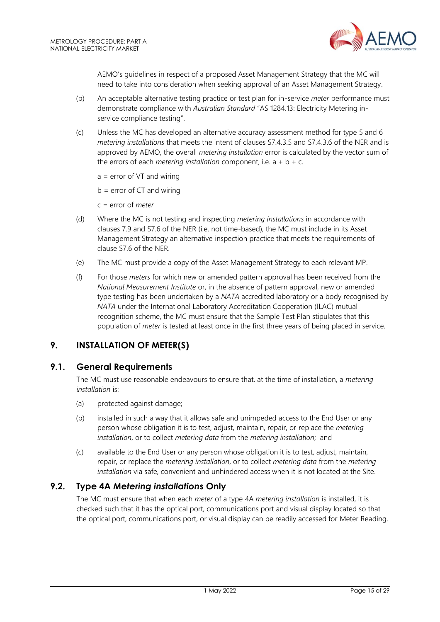

AEMO's guidelines in respect of a proposed Asset Management Strategy that the MC will need to take into consideration when seeking approval of an Asset Management Strategy.

- (b) An acceptable alternative testing practice or test plan for in-service *meter* performance must demonstrate compliance with *Australian Standard* "AS 1284.13: Electricity Metering inservice compliance testing".
- (c) Unless the MC has developed an alternative accuracy assessment method for type 5 and 6 *metering installations* that meets the intent of clauses S7.4.3.5 and S7.4.3.6 of the NER and is approved by AEMO, the overall *metering installation* error is calculated by the vector sum of the errors of each *metering installation* component, i.e.  $a + b + c$ .
	- a = error of VT and wiring
	- $b =$  error of CT and wiring
	- c = error of *meter*
- (d) Where the MC is not testing and inspecting *metering installations* in accordance with clauses 7.9 and S7.6 of the NER (i.e. not time-based), the MC must include in its Asset Management Strategy an alternative inspection practice that meets the requirements of clause S7.6 of the NER.
- (e) The MC must provide a copy of the Asset Management Strategy to each relevant MP.
- (f) For those *meters* for which new or amended pattern approval has been received from the *National Measurement Institute* or, in the absence of pattern approval, new or amended type testing has been undertaken by a *NATA* accredited laboratory or a body recognised by *NATA* under the International Laboratory Accreditation Cooperation (ILAC) mutual recognition scheme, the MC must ensure that the Sample Test Plan stipulates that this population of *meter* is tested at least once in the first three years of being placed in service.

# <span id="page-14-0"></span>**9. INSTALLATION OF METER(S)**

# <span id="page-14-1"></span>**9.1. General Requirements**

The MC must use reasonable endeavours to ensure that, at the time of installation, a *metering installation* is:

- (a) protected against damage;
- (b) installed in such a way that it allows safe and unimpeded access to the End User or any person whose obligation it is to test, adjust, maintain, repair, or replace the *metering installation*, or to collect *metering data* from the *metering installation*; and
- (c) available to the End User or any person whose obligation it is to test, adjust, maintain, repair, or replace the *metering installation*, or to collect *metering data* from the *metering installation* via safe, convenient and unhindered access when it is not located at the Site.

# <span id="page-14-2"></span>**9.2. Type 4A** *Metering installation***s Only**

The MC must ensure that when each *meter* of a type 4A *metering installation* is installed, it is checked such that it has the optical port, communications port and visual display located so that the optical port, communications port, or visual display can be readily accessed for Meter Reading.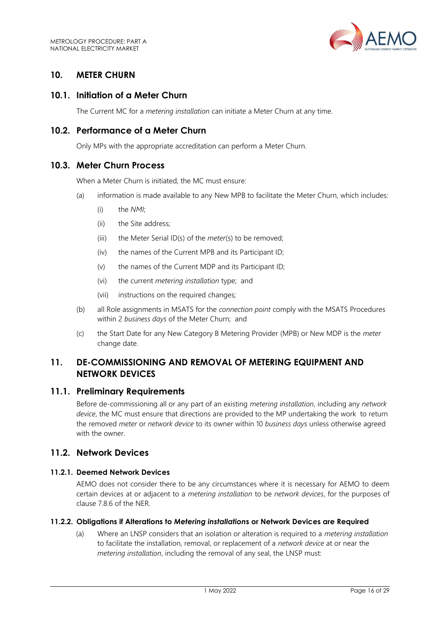

# <span id="page-15-0"></span>**10. METER CHURN**

#### <span id="page-15-1"></span>**10.1. Initiation of a Meter Churn**

The Current MC for a *metering installation* can initiate a Meter Churn at any time.

#### <span id="page-15-2"></span>**10.2. Performance of a Meter Churn**

Only MPs with the appropriate accreditation can perform a Meter Churn.

#### <span id="page-15-3"></span>**10.3. Meter Churn Process**

When a Meter Churn is initiated, the MC must ensure:

- (a) information is made available to any New MPB to facilitate the Meter Churn, which includes:
	- (i) the *NMI*;
	- (ii) the Site address;
	- (iii) the Meter Serial ID(s) of the *meter*(s) to be removed;
	- (iv) the names of the Current MPB and its Participant ID;
	- (v) the names of the Current MDP and its Participant ID;
	- (vi) the current *metering installation* type; and
	- (vii) instructions on the required changes;
- (b) all Role assignments in MSATS for the *connection point* comply with the MSATS Procedures within 2 *business days* of the Meter Churn; and
- (c) the Start Date for any New Category B Metering Provider (MPB) or New MDP is the *meter* change date.

# <span id="page-15-4"></span>**11. DE-COMMISSIONING AND REMOVAL OF METERING EQUIPMENT AND NETWORK DEVICES**

#### <span id="page-15-5"></span>**11.1. Preliminary Requirements**

Before de-commissioning all or any part of an existing *metering installation*, including any *network device*, the MC must ensure that directions are provided to the MP undertaking the work to return the removed *meter* or *network device* to its owner within 10 *business days* unless otherwise agreed with the owner.

# <span id="page-15-6"></span>**11.2. Network Devices**

#### **11.2.1. Deemed Network Devices**

AEMO does not consider there to be any circumstances where it is necessary for AEMO to deem certain devices at or adjacent to a *metering installation* to be *network devices*, for the purposes of clause 7.8.6 of the NER.

#### **11.2.2. Obligations if Alterations to** *Metering installation***s or Network Devices are Required**

(a) Where an LNSP considers that an isolation or alteration is required to a *metering installation* to facilitate the installation, removal, or replacement of a *network device* at or near the *metering installation*, including the removal of any seal, the LNSP must: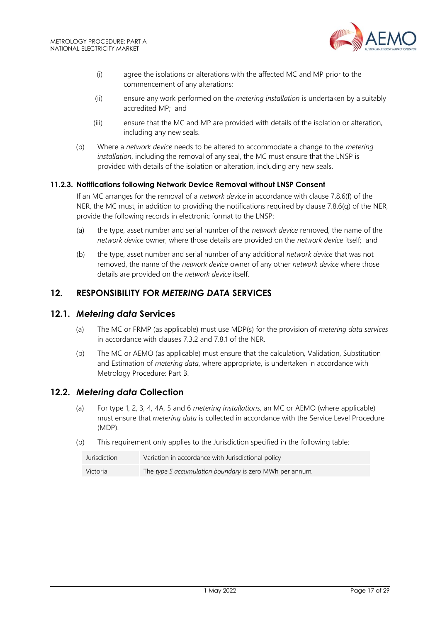

- (i) agree the isolations or alterations with the affected MC and MP prior to the commencement of any alterations;
- (ii) ensure any work performed on the *metering installation* is undertaken by a suitably accredited MP; and
- (iii) ensure that the MC and MP are provided with details of the isolation or alteration, including any new seals.
- (b) Where a *network device* needs to be altered to accommodate a change to the *metering installation*, including the removal of any seal, the MC must ensure that the LNSP is provided with details of the isolation or alteration, including any new seals.

#### **11.2.3. Notifications following Network Device Removal without LNSP Consent**

If an MC arranges for the removal of a *network device* in accordance with clause 7.8.6(f) of the NER, the MC must, in addition to providing the notifications required by clause 7.8.6(g) of the NER, provide the following records in electronic format to the LNSP:

- (a) the type, asset number and serial number of the *network device* removed, the name of the *network device* owner, where those details are provided on the *network device* itself; and
- (b) the type, asset number and serial number of any additional *network device* that was not removed, the name of the *network device* owner of any other *network device* where those details are provided on the *network device* itself.

# <span id="page-16-0"></span>**12. RESPONSIBILITY FOR** *METERING DATA* **SERVICES**

#### <span id="page-16-1"></span>**12.1.** *Metering data* **Services**

- (a) The MC or FRMP (as applicable) must use MDP(s) for the provision of *metering data services* in accordance with clauses 7.3.2 and 7.8.1 of the NER.
- (b) The MC or AEMO (as applicable) must ensure that the calculation*,* Validation, Substitution and Estimation of *metering data*, where appropriate, is undertaken in accordance with Metrology Procedure: Part B.

#### <span id="page-16-2"></span>**12.2.** *Metering data* **Collection**

- (a) For type 1, 2, 3, 4, 4A, 5 and 6 *metering installations,* an MC or AEMO (where applicable) must ensure that *metering data* is collected in accordance with the Service Level Procedure (MDP).
- (b) This requirement only applies to the Jurisdiction specified in the following table:

| Jurisdiction | Variation in accordance with Jurisdictional policy      |
|--------------|---------------------------------------------------------|
| Victoria     | The type 5 accumulation boundary is zero MWh per annum. |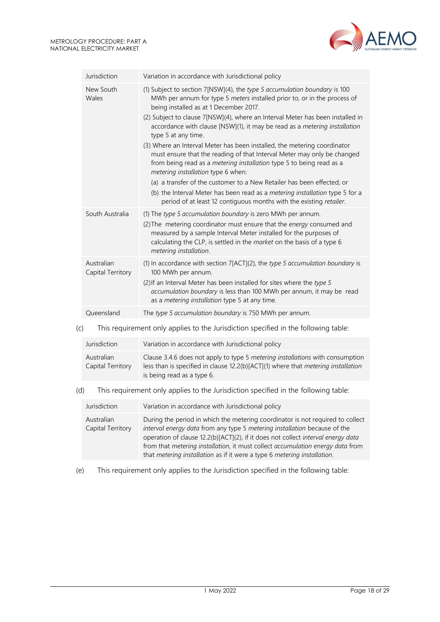

| Jurisdiction                    | Variation in accordance with Jurisdictional policy                                                                                                                                                                                                                                                                                                                                                                                                                                                                                                                                                                                                                                                                                                                                                                                                                                           |
|---------------------------------|----------------------------------------------------------------------------------------------------------------------------------------------------------------------------------------------------------------------------------------------------------------------------------------------------------------------------------------------------------------------------------------------------------------------------------------------------------------------------------------------------------------------------------------------------------------------------------------------------------------------------------------------------------------------------------------------------------------------------------------------------------------------------------------------------------------------------------------------------------------------------------------------|
| New South<br>Wales              | (1) Subject to section 7[NSW](4), the type 5 accumulation boundary is 100<br>MWh per annum for type 5 meters installed prior to, or in the process of<br>being installed as at 1 December 2017.<br>(2) Subject to clause 7[NSW](4), where an Interval Meter has been installed in<br>accordance with clause [NSW](1), it may be read as a metering installation<br>type 5 at any time.<br>(3) Where an Interval Meter has been installed, the metering coordinator<br>must ensure that the reading of that Interval Meter may only be changed<br>from being read as a metering installation type 5 to being read as a<br>metering installation type 6 when:<br>(a) a transfer of the customer to a New Retailer has been effected; or<br>(b) the Interval Meter has been read as a metering installation type 5 for a<br>period of at least 12 contiguous months with the existing retailer. |
| South Australia                 | (1) The type 5 accumulation boundary is zero MWh per annum.<br>(2) The metering coordinator must ensure that the energy consumed and<br>measured by a sample Interval Meter installed for the purposes of<br>calculating the CLP, is settled in the market on the basis of a type 6<br>metering installation.                                                                                                                                                                                                                                                                                                                                                                                                                                                                                                                                                                                |
| Australian<br>Capital Territory | (1) In accordance with section 7[ACT](2), the type 5 accumulation boundary is<br>100 MWh per annum.<br>(2) If an Interval Meter has been installed for sites where the type 5<br>accumulation boundary is less than 100 MWh per annum, it may be read<br>as a metering installation type 5 at any time.                                                                                                                                                                                                                                                                                                                                                                                                                                                                                                                                                                                      |
| Queensland                      | The type 5 accumulation boundary is 750 MWh per annum.                                                                                                                                                                                                                                                                                                                                                                                                                                                                                                                                                                                                                                                                                                                                                                                                                                       |

#### (c) This requirement only applies to the Jurisdiction specified in the following table:

| Jurisdiction                    | Variation in accordance with Jurisdictional policy                                                                                                                                                      |
|---------------------------------|---------------------------------------------------------------------------------------------------------------------------------------------------------------------------------------------------------|
| Australian<br>Capital Territory | Clause 3.4.6 does not apply to type 5 <i>metering installations</i> with consumption<br>less than is specified in clause 12.2(b)[ACT](1) where that metering installation<br>is being read as a type 6. |

#### (d) This requirement only applies to the Jurisdiction specified in the following table:

| Jurisdiction                    | Variation in accordance with Jurisdictional policy                                                                                                                                                                                                                                                                                                                                                            |
|---------------------------------|---------------------------------------------------------------------------------------------------------------------------------------------------------------------------------------------------------------------------------------------------------------------------------------------------------------------------------------------------------------------------------------------------------------|
| Australian<br>Capital Territory | During the period in which the metering coordinator is not required to collect<br>interval energy data from any type 5 metering installation because of the<br>operation of clause 12.2(b)[ACT](2), if it does not collect interval energy data<br>from that metering installation, it must collect accumulation energy data from<br>that metering installation as if it were a type 6 metering installation. |

(e) This requirement only applies to the Jurisdiction specified in the following table: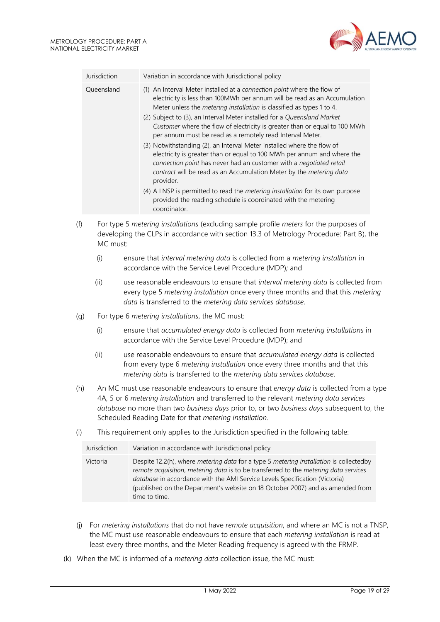

| Jurisdiction | Variation in accordance with Jurisdictional policy                                                                                                                                                                                                                                                           |
|--------------|--------------------------------------------------------------------------------------------------------------------------------------------------------------------------------------------------------------------------------------------------------------------------------------------------------------|
| Queensland   | (1) An Interval Meter installed at a connection point where the flow of<br>electricity is less than 100MWh per annum will be read as an Accumulation<br>Meter unless the <i>metering installation</i> is classified as types 1 to 4.                                                                         |
|              | (2) Subject to (3), an Interval Meter installed for a Queensland Market<br>Customer where the flow of electricity is greater than or equal to 100 MWh<br>per annum must be read as a remotely read Interval Meter.                                                                                           |
|              | (3) Notwithstanding (2), an Interval Meter installed where the flow of<br>electricity is greater than or equal to 100 MWh per annum and where the<br>connection point has never had an customer with a negotiated retail<br>contract will be read as an Accumulation Meter by the metering data<br>provider. |
|              | (4) A LNSP is permitted to read the <i>metering installation</i> for its own purpose<br>provided the reading schedule is coordinated with the metering<br>coordinator.                                                                                                                                       |
|              | For type 5 metering installations (excluding sample profile meters for the purposes of                                                                                                                                                                                                                       |

- (f) For type 5 *metering installations* (excluding sample profile *meters* for the purposes of developing the CLPs in accordance with section 13.3 of Metrology Procedure: Part B), the MC must:
	- (i) ensure that *interval metering data* is collected from a *metering installation* in accordance with the Service Level Procedure (MDP)*;* and
	- (ii) use reasonable endeavours to ensure that *interval metering data* is collected from every type 5 *metering installation* once every three months and that this *metering data* is transferred to the *metering data services database*.
- (g) For type 6 *metering installations*, the MC must:
	- (i) ensure that *accumulated energy data* is collected from *metering installations* in accordance with the Service Level Procedure (MDP); and
	- (ii) use reasonable endeavours to ensure that *accumulated energy data* is collected from every type 6 *metering installation* once every three months and that this *metering data* is transferred to the *metering data services database*.
- (h) An MC must use reasonable endeavours to ensure that *energy data* is collected from a type 4A, 5 or 6 *metering installation* and transferred to the relevant *metering data services database* no more than two *business days* prior to, or two *business days* subsequent to, the Scheduled Reading Date for that *metering installation*.
- (i) This requirement only applies to the Jurisdiction specified in the following table:

| Jurisdiction | Variation in accordance with Jurisdictional policy                                                                                                                                                                                                                                                                                                                             |
|--------------|--------------------------------------------------------------------------------------------------------------------------------------------------------------------------------------------------------------------------------------------------------------------------------------------------------------------------------------------------------------------------------|
| Victoria     | Despite 12.2(h), where <i>metering data</i> for a type 5 <i>metering installation</i> is collectedby<br>remote acquisition, metering data is to be transferred to the metering data services<br>database in accordance with the AMI Service Levels Specification (Victoria)<br>(published on the Department's website on 18 October 2007) and as amended from<br>time to time. |

- (j) For *metering installations* that do not have *remote acquisition*, and where an MC is not a TNSP, the MC must use reasonable endeavours to ensure that each *metering installation* is read at least every three months, and the Meter Reading frequency is agreed with the FRMP.
- (k) When the MC is informed of a *metering data* collection issue, the MC must: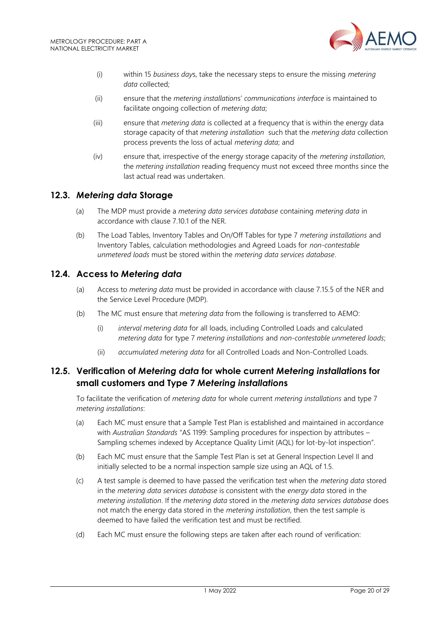

- (i) within 15 *business day*s, take the necessary steps to ensure the missing *metering data* collected;
- (ii) ensure that the *metering installation*s' *communications interface* is maintained to facilitate ongoing collection of *metering data*;
- (iii) ensure that *metering data* is collected at a frequency that is within the energy data storage capacity of that *metering installation* such that the *metering data* collection process prevents the loss of actual *metering data*; and
- (iv) ensure that, irrespective of the energy storage capacity of the *metering installation*, the *metering installation* reading frequency must not exceed three months since the last actual read was undertaken.

# <span id="page-19-0"></span>**12.3.** *Metering data* **Storage**

- (a) The MDP must provide a *metering data services database* containing *metering data* in accordance with clause 7.10.1 of the NER.
- (b) The Load Tables, Inventory Tables and On/Off Tables for type 7 *metering installations* and Inventory Tables, calculation methodologies and Agreed Loads for *non-contestable unmetered loads* must be stored within the *metering data services database*.

# <span id="page-19-1"></span>**12.4. Access to** *Metering data*

- (a) Access to *metering data* must be provided in accordance with clause 7.15.5 of the NER and the Service Level Procedure (MDP).
- (b) The MC must ensure that *metering data* from the following is transferred to AEMO:
	- (i) *interval metering data* for all loads, including Controlled Loads and calculated *metering data* for type 7 *metering installations* and *non-contestable unmetered loads*;
	- (ii) *accumulated metering data* for all Controlled Loads and Non-Controlled Loads.

# <span id="page-19-2"></span>**12.5. Verification of** *Metering data* **for whole current** *Metering installation***s for small customers and Type 7** *Metering installation***s**

To facilitate the verification of *metering data* for whole current *metering installations* and type 7 *metering installations*:

- (a) Each MC must ensure that a Sample Test Plan is established and maintained in accordance with *Australian Standards* "AS 1199: Sampling procedures for inspection by attributes – Sampling schemes indexed by Acceptance Quality Limit (AQL) for lot-by-lot inspection".
- (b) Each MC must ensure that the Sample Test Plan is set at General Inspection Level II and initially selected to be a normal inspection sample size using an AQL of 1.5.
- (c) A test sample is deemed to have passed the verification test when the *metering data* stored in the *metering data services database* is consistent with the *energy data* stored in the *metering installation*. If the *metering data* stored in the *metering data services database* does not match the energy data stored in the *metering installation*, then the test sample is deemed to have failed the verification test and must be rectified.
- (d) Each MC must ensure the following steps are taken after each round of verification: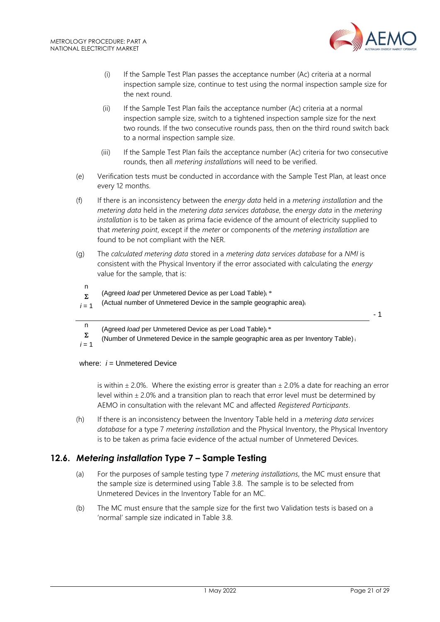

- (i) If the Sample Test Plan passes the acceptance number (Ac) criteria at a normal inspection sample size, continue to test using the normal inspection sample size for the next round.
- (ii) If the Sample Test Plan fails the acceptance number (Ac) criteria at a normal inspection sample size, switch to a tightened inspection sample size for the next two rounds. If the two consecutive rounds pass, then on the third round switch back to a normal inspection sample size.
- (iii) If the Sample Test Plan fails the acceptance number (Ac) criteria for two consecutive rounds, then all *metering installation*s will need to be verified.
- (e) Verification tests must be conducted in accordance with the Sample Test Plan, at least once every 12 months.
- (f) If there is an inconsistency between the *energy data* held in a *metering installation* and the *metering data* held in the *metering data services database*, the *energy data* in the *metering installation* is to be taken as prima facie evidence of the amount of electricity supplied to that *metering point*, except if the *meter* or components of the *metering installation* are found to be not compliant with the NER.
- (g) The *calculated metering data* stored in a *metering data services database* for a *NMI* is consistent with the Physical Inventory if the error associated with calculating the *energy* value for the sample, that is:
- n
	- $\Sigma$ (Agreed *load* per Unmetered Device as per Load Table)<sup>i</sup> \*
- $i = 1$ (Actual number of Unmetered Device in the sample geographic area)<sup>i</sup>

- 1

- n (Agreed *load* per Unmetered Device as per Load Table)<sub>i</sub>\*
- $\Sigma$  $i = 1$ (Number of Unmetered Device in the sample geographic area as per Inventory Table) <sup>i</sup>

#### where:  $i =$  Unmetered Device

is within  $\pm$  2.0%. Where the existing error is greater than  $\pm$  2.0% a date for reaching an error level within  $\pm$  2.0% and a transition plan to reach that error level must be determined by AEMO in consultation with the relevant MC and affected *Registered Participants*.

(h) If there is an inconsistency between the Inventory Table held in a *metering data services database* for a type 7 *metering installation* and the Physical Inventory, the Physical Inventory is to be taken as prima facie evidence of the actual number of Unmetered Devices.

# <span id="page-20-0"></span>**12.6.** *Metering installation* **Type 7 – Sample Testing**

- (a) For the purposes of sample testing type 7 *metering installations*, the MC must ensure that the sample size is determined using Table 3.8. The sample is to be selected from Unmetered Devices in the Inventory Table for an MC.
- (b) The MC must ensure that the sample size for the first two Validation tests is based on a 'normal' sample size indicated in Table 3.8.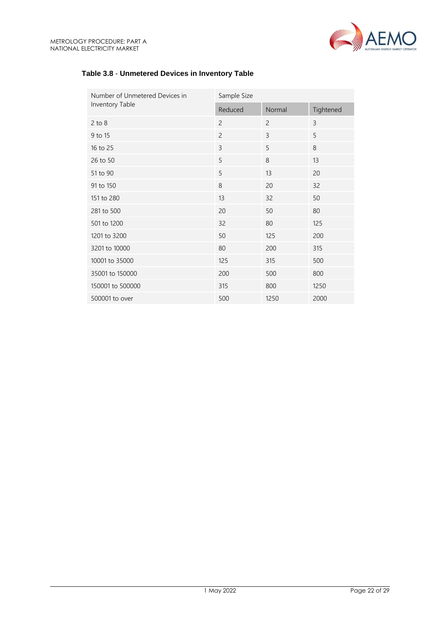

# **Table 3.8** - **Unmetered Devices in Inventory Table**

| Number of Unmetered Devices in | Sample Size    |                |           |
|--------------------------------|----------------|----------------|-----------|
| Inventory Table                | Reduced        | Normal         | Tightened |
| $2$ to $8$                     | $\overline{c}$ | $\overline{c}$ | 3         |
| 9 to 15                        | $\overline{2}$ | 3              | 5         |
| 16 to 25                       | 3              | 5              | 8         |
| 26 to 50                       | 5              | 8              | 13        |
| 51 to 90                       | 5              | 13             | 20        |
| 91 to 150                      | 8              | 20             | 32        |
| 151 to 280                     | 13             | 32             | 50        |
| 281 to 500                     | 20             | 50             | 80        |
| 501 to 1200                    | 32             | 80             | 125       |
| 1201 to 3200                   | 50             | 125            | 200       |
| 3201 to 10000                  | 80             | 200            | 315       |
| 10001 to 35000                 | 125            | 315            | 500       |
| 35001 to 150000                | 200            | 500            | 800       |
| 150001 to 500000               | 315            | 800            | 1250      |
| 500001 to over                 | 500            | 1250           | 2000      |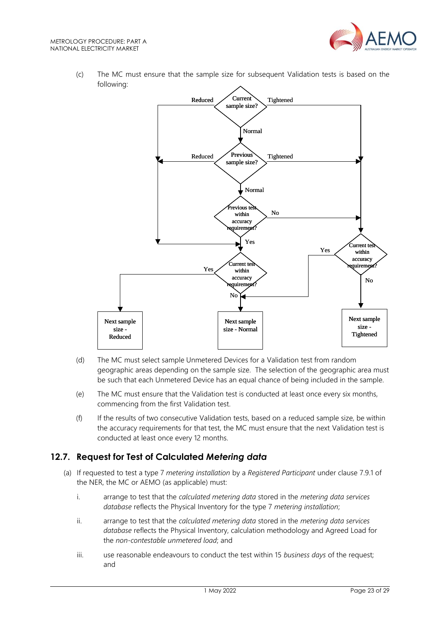

(c) The MC must ensure that the sample size for subsequent Validation tests is based on the following:



- (d) The MC must select sample Unmetered Devices for a Validation test from random geographic areas depending on the sample size. The selection of the geographic area must be such that each Unmetered Device has an equal chance of being included in the sample.
- (e) The MC must ensure that the Validation test is conducted at least once every six months, commencing from the first Validation test.
- (f) If the results of two consecutive Validation tests, based on a reduced sample size, be within the accuracy requirements for that test, the MC must ensure that the next Validation test is conducted at least once every 12 months.

# <span id="page-22-0"></span>**12.7. Request for Test of Calculated** *Metering data*

- (a) If requested to test a type 7 *metering installation* by a *Registered Participant* under clause 7.9.1 of the NER, the MC or AEMO (as applicable) must:
	- i. arrange to test that the *calculated metering data* stored in the *metering data services database* reflects the Physical Inventory for the type 7 *metering installation*;
	- ii. arrange to test that the *calculated metering data* stored in the *metering data services database* reflects the Physical Inventory, calculation methodology and Agreed Load for the *non-contestable unmetered load*; and
	- iii. use reasonable endeavours to conduct the test within 15 *business days* of the request; and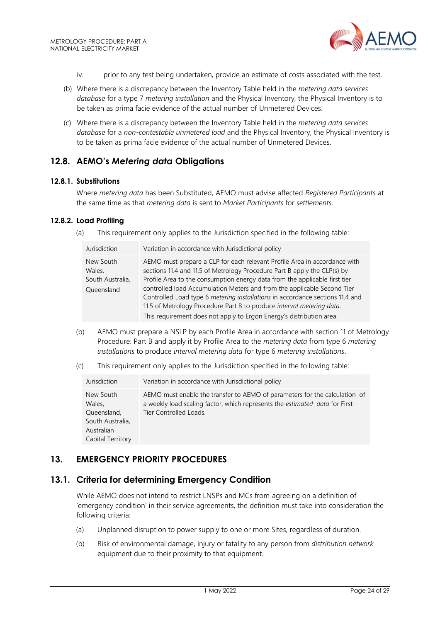

- iv. prior to any test being undertaken, provide an estimate of costs associated with the test.
- (b) Where there is a discrepancy between the Inventory Table held in the *metering data services database* for a type 7 *metering installation* and the Physical Inventory, the Physical Inventory is to be taken as prima facie evidence of the actual number of Unmetered Devices.
- (c) Where there is a discrepancy between the Inventory Table held in the *metering data services database* for a *non-contestable unmetered load* and the Physical Inventory, the Physical Inventory is to be taken as prima facie evidence of the actual number of Unmetered Devices.

# <span id="page-23-0"></span>**12.8. AEMO's** *Metering data* **Obligations**

#### **12.8.1. Substitutions**

Where *metering data* has been Substituted, AEMO must advise affected *Registered Participants* at the same time as that *metering data* is sent to *Market Participants* for *settlements*.

#### **12.8.2. Load Profiling**

(a) This requirement only applies to the Jurisdiction specified in the following table:

| Jurisdiction                                          | Variation in accordance with Jurisdictional policy                                                                                                                                                                                                                                                                                                                                                                                                                                                                                               |
|-------------------------------------------------------|--------------------------------------------------------------------------------------------------------------------------------------------------------------------------------------------------------------------------------------------------------------------------------------------------------------------------------------------------------------------------------------------------------------------------------------------------------------------------------------------------------------------------------------------------|
| New South<br>Wales,<br>South Australia,<br>Queensland | AEMO must prepare a CLP for each relevant Profile Area in accordance with<br>sections 11.4 and 11.5 of Metrology Procedure Part B apply the CLP(s) by<br>Profile Area to the consumption energy data from the applicable first tier<br>controlled load Accumulation Meters and from the applicable Second Tier<br>Controlled Load type 6 metering installations in accordance sections 11.4 and<br>11.5 of Metrology Procedure Part B to produce interval metering data.<br>This requirement does not apply to Ergon Energy's distribution area. |

- (b) AEMO must prepare a NSLP by each Profile Area in accordance with section 11 of Metrology Procedure: Part B and apply it by Profile Area to the *metering data* from type 6 *metering installations* to produce *interval metering data* for type 6 *metering installations*.
- (c) This requirement only applies to the Jurisdiction specified in the following table:

| Jurisdiction                                                                              | Variation in accordance with Jurisdictional policy                                                                                                                                   |
|-------------------------------------------------------------------------------------------|--------------------------------------------------------------------------------------------------------------------------------------------------------------------------------------|
| New South<br>Wales,<br>Queensland,<br>South Australia,<br>Australian<br>Capital Territory | AEMO must enable the transfer to AEMO of parameters for the calculation of<br>a weekly load scaling factor, which represents the estimated data for First-<br>Tier Controlled Loads. |

# <span id="page-23-1"></span>**13. EMERGENCY PRIORITY PROCEDURES**

# <span id="page-23-2"></span>**13.1. Criteria for determining Emergency Condition**

While AEMO does not intend to restrict LNSPs and MCs from agreeing on a definition of 'emergency condition' in their service agreements, the definition must take into consideration the following criteria:

- (a) Unplanned disruption to power supply to one or more Sites, regardless of duration.
- (b) Risk of environmental damage, injury or fatality to any person from *distribution network* equipment due to their proximity to that equipment.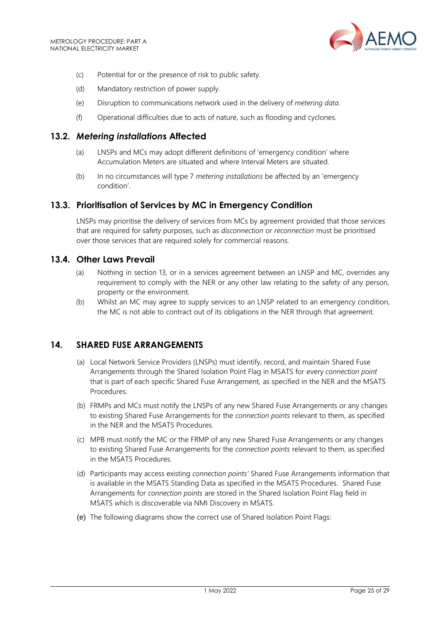

- (c) Potential for or the presence of risk to public safety.
- (d) Mandatory restriction of power supply.
- (e) Disruption to communications network used in the delivery of *metering data.*
- (f) Operational difficulties due to acts of nature, such as flooding and cyclones.

#### <span id="page-24-0"></span>**13.2.** *Metering installation***s Affected**

- (a) LNSPs and MCs may adopt different definitions of 'emergency condition' where Accumulation Meters are situated and where Interval Meters are situated.
- (b) In no circumstances will type 7 *metering installations* be affected by an 'emergency condition'.

#### <span id="page-24-1"></span>**13.3. Prioritisation of Services by MC in Emergency Condition**

LNSPs may prioritise the delivery of services from MCs by agreement provided that those services that are required for safety purposes, such as *disconnection* or *reconnection* must be prioritised over those services that are required solely for commercial reasons.

#### <span id="page-24-2"></span>**13.4. Other Laws Prevail**

- (a) Nothing in section 13, or in a services agreement between an LNSP and MC, overrides any requirement to comply with the NER or any other law relating to the safety of any person, property or the environment.
- (b) Whilst an MC may agree to supply services to an LNSP related to an emergency condition, the MC is not able to contract out of its obligations in the NER through that agreement.

#### <span id="page-24-3"></span>**14. SHARED FUSE ARRANGEMENTS**

- (a) Local Network Service Providers (LNSPs) must identify, record, and maintain Shared Fuse Arrangements through the Shared Isolation Point Flag in MSATS for every *connection point* that is part of each specific Shared Fuse Arrangement, as specified in the NER and the MSATS Procedures.
- (b) FRMPs and MCs must notify the LNSPs of any new Shared Fuse Arrangements or any changes to existing Shared Fuse Arrangements for the *connection points* relevant to them, as specified in the NER and the MSATS Procedures.
- (c) MPB must notify the MC or the FRMP of any new Shared Fuse Arrangements or any changes to existing Shared Fuse Arrangements for the *connection points* relevant to them, as specified in the MSATS Procedures.
- (d) Participants may access existing *connection points'* Shared Fuse Arrangements information that is available in the MSATS Standing Data as specified in the MSATS Procedures. Shared Fuse Arrangements for *connection points* are stored in the Shared Isolation Point Flag field in MSATS which is discoverable via NMI Discovery in MSATS.
- (e) The following diagrams show the correct use of Shared Isolation Point Flags: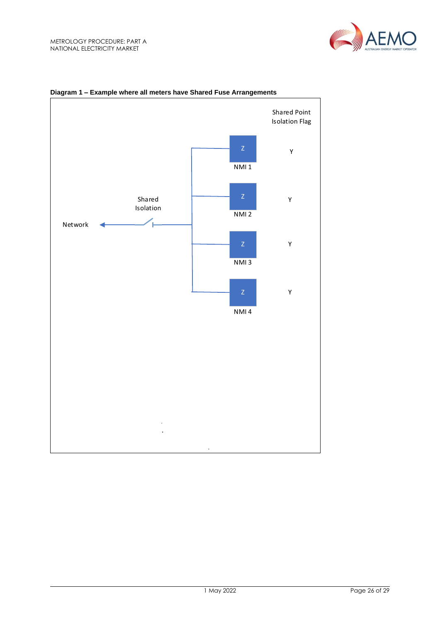



#### **Diagram 1 – Example where all meters have Shared Fuse Arrangements**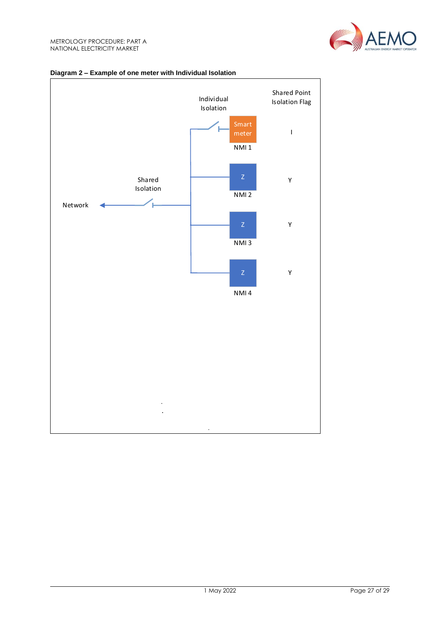

#### **Diagram 2 – Example of one meter with Individual Isolation**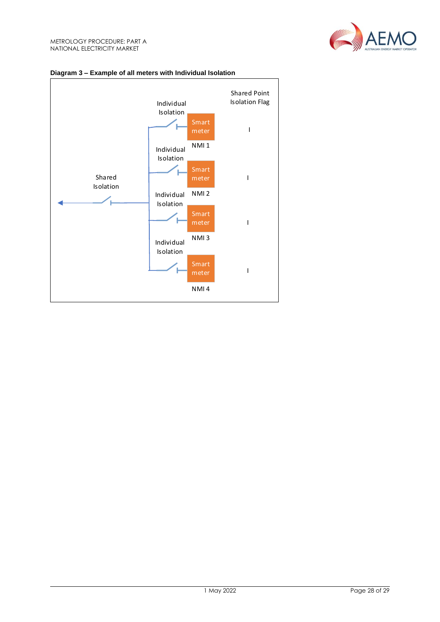



# **Diagram 3 – Example of all meters with Individual Isolation**